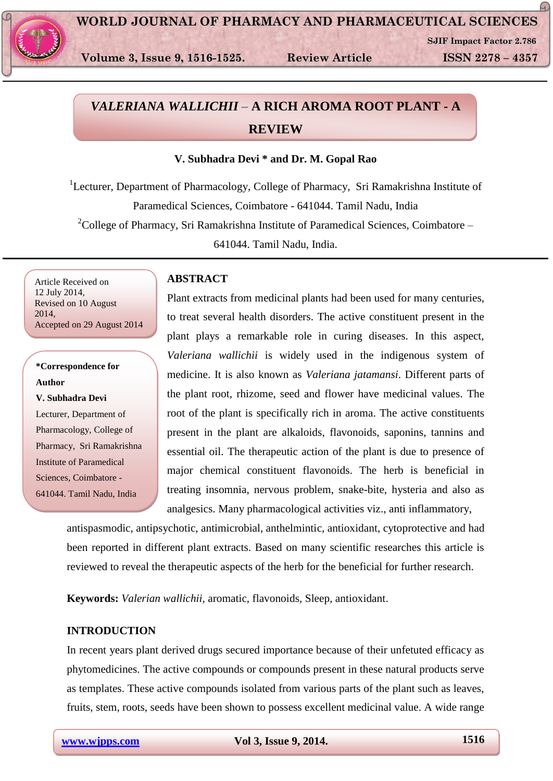

**Volume 3, Issue 9, 1516-1525. Review Article ISSN 2278 – 4357**

**SJIF Impact Factor 2.786**

G.,

# *VALERIANA WALLICHII* – **A RICH AROMA ROOT PLANT - A REVIEW**

# **V. Subhadra Devi \* and Dr. M. Gopal Rao**

<sup>1</sup>Lecturer, Department of Pharmacology, College of Pharmacy, Sri Ramakrishna Institute of Paramedical Sciences, Coimbatore - 641044. Tamil Nadu, India

 $2^2$ College of Pharmacy, Sri Ramakrishna Institute of Paramedical Sciences, Coimbatore –

641044. Tamil Nadu, India.

Article Received on 12 July 2014, Revised on 10 August 2014, Accepted on 29 August 2014

# **\*Correspondence for Author V. Subhadra Devi** Lecturer, Department of Pharmacology, College of Pharmacy, Sri Ramakrishna Institute of Paramedical Sciences, Coimbatore - 641044. Tamil Nadu, India

# **ABSTRACT**

Plant extracts from medicinal plants had been used for many centuries, to treat several health disorders. The active constituent present in the plant plays a remarkable role in curing diseases. In this aspect, *Valeriana wallichii* is widely used in the indigenous system of medicine. It is also known as *Valeriana jatamansi*. Different parts of the plant root, rhizome, seed and flower have medicinal values. The root of the plant is specifically rich in aroma. The active constituents present in the plant are alkaloids, flavonoids, saponins, tannins and essential oil. The therapeutic action of the plant is due to presence of major chemical constituent flavonoids. The herb is beneficial in treating insomnia, nervous problem, snake-bite, hysteria and also as analgesics. Many pharmacological activities viz., anti inflammatory,

antispasmodic, antipsychotic, antimicrobial, anthelmintic, antioxidant, cytoprotective and had been reported in different plant extracts. Based on many scientific researches this article is reviewed to reveal the therapeutic aspects of the herb for the beneficial for further research.

**Keywords:** *Valerian wallichii*, aromatic, flavonoids, Sleep, antioxidant.

# **INTRODUCTION**

In recent years plant derived drugs secured importance because of their unfetuted efficacy as phytomedicines. The active compounds or compounds present in these natural products serve as templates. These active compounds isolated from various parts of the plant such as leaves, fruits, stem, roots, seeds have been shown to possess excellent medicinal value. A wide range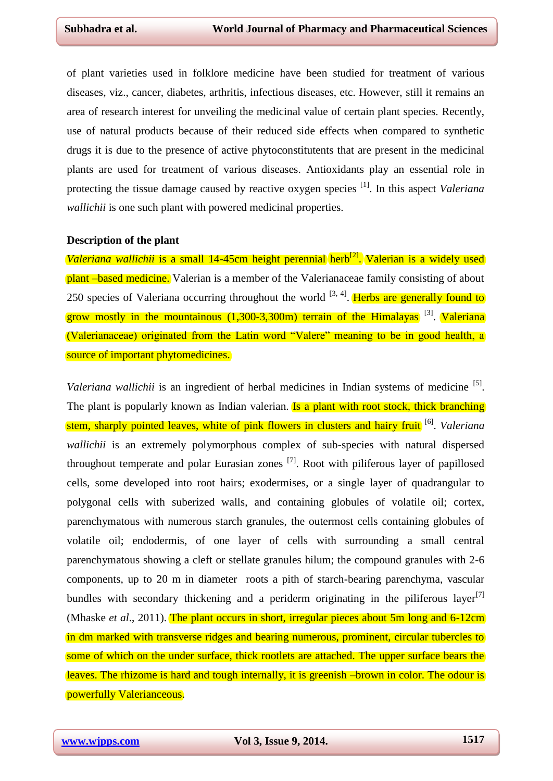of plant varieties used in folklore medicine have been studied for treatment of various diseases, viz., cancer, diabetes, arthritis, infectious diseases, etc. However, still it remains an area of research interest for unveiling the medicinal value of certain plant species. Recently, use of natural products because of their reduced side effects when compared to synthetic drugs it is due to the presence of active phytoconstitutents that are present in the medicinal plants are used for treatment of various diseases. Antioxidants play an essential role in protecting the tissue damage caused by reactive oxygen species [1]. In this aspect *Valeriana wallichii* is one such plant with powered medicinal properties.

#### **Description of the plant**

*Valeriana wallichii* is a small 14-45cm height perennial herb<sup>[2]</sup>. Valerian is a widely used plant –based medicine. Valerian is a member of the Valerianaceae family consisting of about 250 species of Valeriana occurring throughout the world <sup>[3, 4]</sup>. Herbs are generally found to grow mostly in the mountainous  $(1,300-3,300)$  terrain of the Himalayas  $[3]$ . Valeriana (Valerianaceae) originated from the Latin word "Valere" meaning to be in good health, a source of important phytomedicines.

Valeriana wallichii is an ingredient of herbal medicines in Indian systems of medicine <sup>[5]</sup>. The plant is popularly known as Indian valerian. **Is a plant with root stock, thick branching** stem, sharply pointed leaves, white of pink flowers in clusters and hairy fruit [6] . *Valeriana wallichii* is an extremely polymorphous complex of sub-species with natural dispersed throughout temperate and polar Eurasian zones  $^{[7]}$ . Root with piliferous layer of papillosed cells, some developed into root hairs; exodermises, or a single layer of quadrangular to polygonal cells with suberized walls, and containing globules of volatile oil; cortex, parenchymatous with numerous starch granules, the outermost cells containing globules of volatile oil; endodermis, of one layer of cells with surrounding a small central parenchymatous showing a cleft or stellate granules hilum; the compound granules with 2-6 components, up to 20 m in diameter roots a pith of starch-bearing parenchyma, vascular bundles with secondary thickening and a periderm originating in the piliferous layer<sup>[7]</sup> (Mhaske *et al.*, 2011). The plant occurs in short, irregular pieces about 5m long and 6-12cm in dm marked with transverse ridges and bearing numerous, prominent, circular tubercles to some of which on the under surface, thick rootlets are attached. The upper surface bears the leaves. The rhizome is hard and tough internally, it is greenish –brown in color. The odour is powerfully Valerianceous.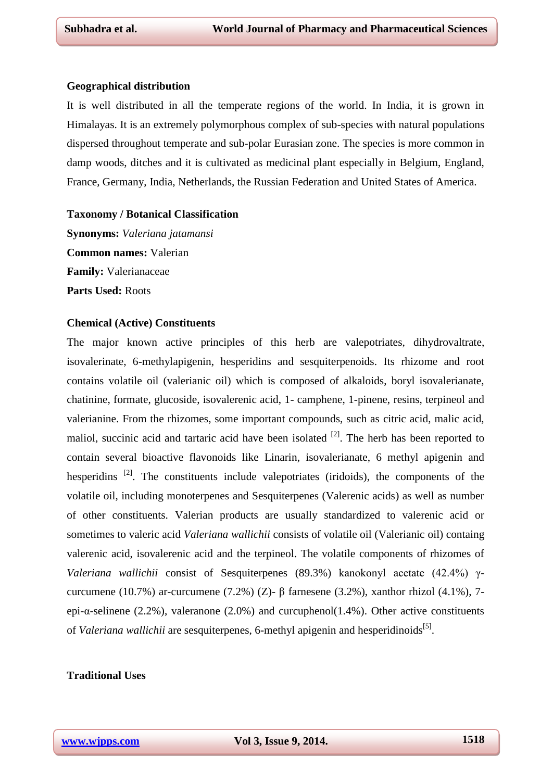#### **Geographical distribution**

It is well distributed in all the temperate regions of the world. In India, it is grown in Himalayas. It is an extremely polymorphous complex of sub-species with natural populations dispersed throughout temperate and sub-polar Eurasian zone. The species is more common in damp woods, ditches and it is cultivated as medicinal plant especially in Belgium, England, France, Germany, India, Netherlands, the Russian Federation and United States of America.

#### **Taxonomy / Botanical Classification**

**Synonyms:** *Valeriana jatamansi* **Common names:** Valerian **Family:** Valerianaceae **Parts Used:** Roots

#### **Chemical (Active) Constituents**

The major known active principles of this herb are valepotriates, dihydrovaltrate, isovalerinate, 6-methylapigenin, hesperidins and sesquiterpenoids. Its rhizome and root contains volatile oil (valerianic oil) which is composed of alkaloids, boryl isovalerianate, chatinine, formate, glucoside, isovalerenic acid, 1- camphene, 1-pinene, resins, terpineol and valerianine. From the rhizomes, some important compounds, such as citric acid, malic acid, maliol, succinic acid and tartaric acid have been isolated  $[2]$ . The herb has been reported to contain several bioactive flavonoids like Linarin, isovalerianate, 6 methyl apigenin and hesperidins  $[2]$ . The constituents include valepotriates (iridoids), the components of the volatile oil, including monoterpenes and Sesquiterpenes (Valerenic acids) as well as number of other constituents. Valerian products are usually standardized to valerenic acid or sometimes to valeric acid *Valeriana wallichii* consists of volatile oil (Valerianic oil) containg valerenic acid, isovalerenic acid and the terpineol. The volatile components of rhizomes of *Valeriana wallichii* consist of Sesquiterpenes (89.3%) kanokonyl acetate (42.4%) γcurcumene (10.7%) ar-curcumene (7.2%) (Z)- β farnesene (3.2%), xanthor rhizol (4.1%), 7epi- $\alpha$ -selinene (2.2%), valeranone (2.0%) and curcuphenol(1.4%). Other active constituents of *Valeriana wallichii* are sesquiterpenes, 6-methyl apigenin and hesperidinoids<sup>[5]</sup>.

# **Traditional Uses**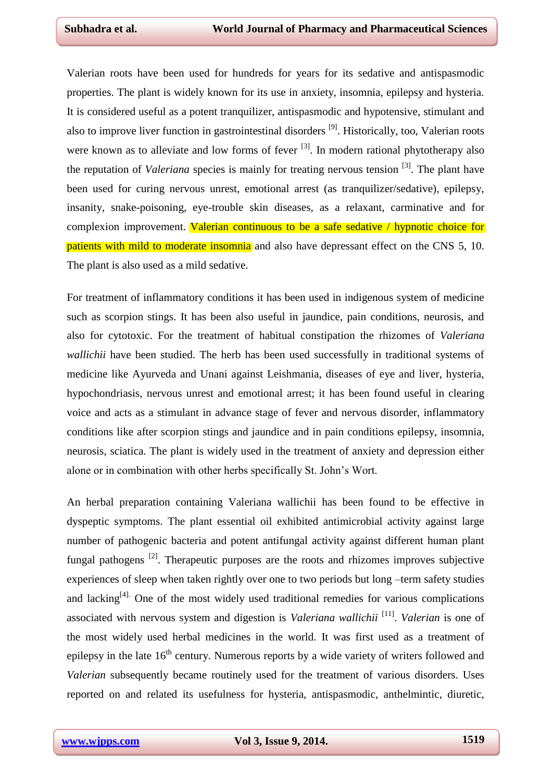Valerian roots have been used for hundreds for years for its sedative and antispasmodic properties. The plant is widely known for its use in anxiety, insomnia, epilepsy and hysteria. It is considered useful as a potent tranquilizer, antispasmodic and hypotensive, stimulant and also to improve liver function in gastrointestinal disorders  $[9]$ . Historically, too, Valerian roots were known as to alleviate and low forms of fever <sup>[3]</sup>. In modern rational phytotherapy also the reputation of *Valeriana* species is mainly for treating nervous tension [3] . The plant have been used for curing nervous unrest, emotional arrest (as tranquilizer/sedative), epilepsy, insanity, snake-poisoning, eye-trouble skin diseases, as a relaxant, carminative and for complexion improvement. Valerian continuous to be a safe sedative / hypnotic choice for patients with mild to moderate insomnia and also have depressant effect on the CNS 5, 10. The plant is also used as a mild sedative.

For treatment of inflammatory conditions it has been used in indigenous system of medicine such as scorpion stings. It has been also useful in jaundice, pain conditions, neurosis, and also for cytotoxic. For the treatment of habitual constipation the rhizomes of *Valeriana wallichii* have been studied. The herb has been used successfully in traditional systems of medicine like Ayurveda and Unani against Leishmania, diseases of eye and liver, hysteria, hypochondriasis, nervous unrest and emotional arrest; it has been found useful in clearing voice and acts as a stimulant in advance stage of fever and nervous disorder, inflammatory conditions like after scorpion stings and jaundice and in pain conditions epilepsy, insomnia, neurosis, sciatica. The plant is widely used in the treatment of anxiety and depression either alone or in combination with other herbs specifically St. John's Wort.

An herbal preparation containing Valeriana wallichii has been found to be effective in dyspeptic symptoms. The plant essential oil exhibited antimicrobial activity against large number of pathogenic bacteria and potent antifungal activity against different human plant fungal pathogens  $^{[2]}$ . Therapeutic purposes are the roots and rhizomes improves subjective experiences of sleep when taken rightly over one to two periods but long –term safety studies and lacking<sup>[4].</sup> One of the most widely used traditional remedies for various complications associated with nervous system and digestion is *Valeriana wallichii* [11] . *Valerian* is one of the most widely used herbal medicines in the world. It was first used as a treatment of epilepsy in the late  $16<sup>th</sup>$  century. Numerous reports by a wide variety of writers followed and *Valerian* subsequently became routinely used for the treatment of various disorders. Uses reported on and related its usefulness for hysteria, antispasmodic, anthelmintic, diuretic,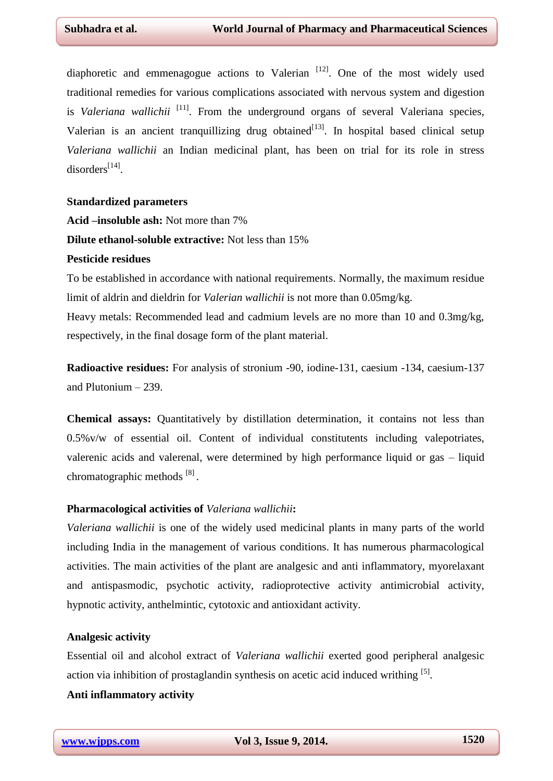diaphoretic and emmenagogue actions to Valerian  $[12]$ . One of the most widely used traditional remedies for various complications associated with nervous system and digestion is *Valeriana wallichii* <sup>[11]</sup>. From the underground organs of several Valeriana species, Valerian is an ancient tranquillizing drug obtained  $[13]$ . In hospital based clinical setup *Valeriana wallichii* an Indian medicinal plant, has been on trial for its role in stress disorders<sup>[14]</sup>.

#### **Standardized parameters**

**Acid –insoluble ash:** Not more than 7%

**Dilute ethanol-soluble extractive:** Not less than 15%

# **Pesticide residues**

To be established in accordance with national requirements. Normally, the maximum residue limit of aldrin and dieldrin for *Valerian wallichii* is not more than 0.05mg/kg.

Heavy metals: Recommended lead and cadmium levels are no more than 10 and 0.3mg/kg, respectively, in the final dosage form of the plant material.

**Radioactive residues:** For analysis of stronium -90, iodine-131, caesium -134, caesium-137 and Plutonium – 239.

**Chemical assays:** Quantitatively by distillation determination, it contains not less than 0.5%v/w of essential oil. Content of individual constitutents including valepotriates, valerenic acids and valerenal, were determined by high performance liquid or gas – liquid chromatographic methods<sup>[8]</sup>.

#### **Pharmacological activities of** *Valeriana wallichii***:**

*Valeriana wallichii* is one of the widely used medicinal plants in many parts of the world including India in the management of various conditions. It has numerous pharmacological activities. The main activities of the plant are analgesic and anti inflammatory, myorelaxant and antispasmodic, psychotic activity, radioprotective activity antimicrobial activity, hypnotic activity, anthelmintic, cytotoxic and antioxidant activity.

# **Analgesic activity**

Essential oil and alcohol extract of *Valeriana wallichii* exerted good peripheral analgesic action via inhibition of prostaglandin synthesis on acetic acid induced writhing  $[5]$ .

# **Anti inflammatory activity**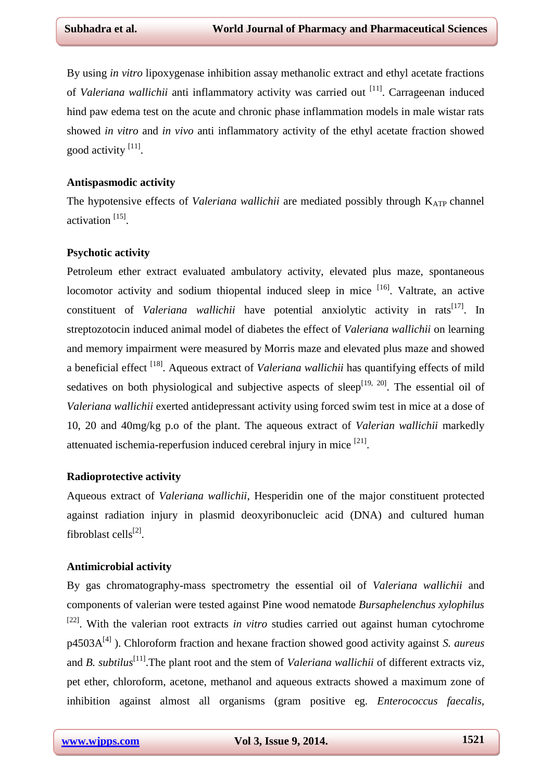By using *in vitro* lipoxygenase inhibition assay methanolic extract and ethyl acetate fractions of Valeriana wallichii anti inflammatory activity was carried out <sup>[11]</sup>. Carrageenan induced hind paw edema test on the acute and chronic phase inflammation models in male wistar rats showed *in vitro* and *in vivo* anti inflammatory activity of the ethyl acetate fraction showed good activity <sup>[11]</sup>.

# **Antispasmodic activity**

The hypotensive effects of *Valeriana wallichii* are mediated possibly through K<sub>ATP</sub> channel activation<sup>[15]</sup>.

### **Psychotic activity**

Petroleum ether extract evaluated ambulatory activity, elevated plus maze, spontaneous locomotor activity and sodium thiopental induced sleep in mice <sup>[16]</sup>. Valtrate, an active constituent of *Valeriana wallichii* have potential anxiolytic activity in rats<sup>[17]</sup>. In streptozotocin induced animal model of diabetes the effect of *Valeriana wallichii* on learning and memory impairment were measured by Morris maze and elevated plus maze and showed a beneficial effect<sup>[18]</sup>. Aqueous extract of *Valeriana wallichii* has quantifying effects of mild sedatives on both physiological and subjective aspects of sleep<sup>[19, 20]</sup>. The essential oil of *Valeriana wallichii* exerted antidepressant activity using forced swim test in mice at a dose of 10, 20 and 40mg/kg p.o of the plant. The aqueous extract of *Valerian wallichii* markedly attenuated ischemia-reperfusion induced cerebral injury in mice  $[21]$ .

# **Radioprotective activity**

Aqueous extract of *Valeriana wallichii*, Hesperidin one of the major constituent protected against radiation injury in plasmid deoxyribonucleic acid (DNA) and cultured human fibroblast cells<sup>[2]</sup>.

# **Antimicrobial activity**

By gas chromatography-mass spectrometry the essential oil of *Valeriana wallichii* and components of valerian were tested against Pine wood nematode *Bursaphelenchus xylophilus* <sup>[22]</sup>. With the valerian root extracts *in vitro* studies carried out against human cytochrome p4503A<sup>[4]</sup>). Chloroform fraction and hexane fraction showed good activity against *S. aureus* and *B*. *subtilus*<sup>[11]</sup>. The plant root and the stem of *Valeriana wallichii* of different extracts viz, pet ether, chloroform, acetone, methanol and aqueous extracts showed a maximum zone of inhibition against almost all organisms (gram positive eg. *Enterococcus faecalis,*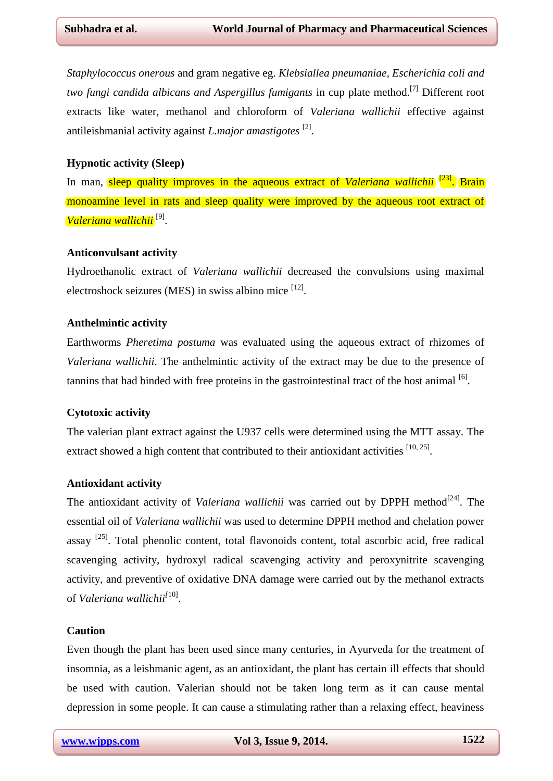*Staphylococcus onerous* and gram negative eg. *Klebsiallea pneumaniae, Escherichia coli and two fungi candida albicans and Aspergillus fumigants* in cup plate method. [7] Different root extracts like water, methanol and chloroform of *Valeriana wallichii* effective against antileishmanial activity against *L.major amastigotes* [2] .

# **Hypnotic activity (Sleep)**

In man, sleep quality improves in the aqueous extract of *Valeriana wallichii* <sup>[23]</sup>. Brain monoamine level in rats and sleep quality were improved by the aqueous root extract of *Valeriana wallichii* [9] .

### **Anticonvulsant activity**

Hydroethanolic extract of *Valeriana wallichii* decreased the convulsions using maximal electroshock seizures (MES) in swiss albino mice <sup>[12]</sup>.

# **Anthelmintic activity**

Earthworms *Pheretima postuma* was evaluated using the aqueous extract of rhizomes of *Valeriana wallichii*. The anthelmintic activity of the extract may be due to the presence of tannins that had binded with free proteins in the gastrointestinal tract of the host animal  $[6]$ .

# **Cytotoxic activity**

The valerian plant extract against the U937 cells were determined using the MTT assay. The extract showed a high content that contributed to their antioxidant activities  $[10, 25]$ .

# **Antioxidant activity**

The antioxidant activity of *Valeriana wallichii* was carried out by DPPH method<sup>[24]</sup>. The essential oil of *Valeriana wallichii* was used to determine DPPH method and chelation power assay <sup>[25]</sup>. Total phenolic content, total flavonoids content, total ascorbic acid, free radical scavenging activity, hydroxyl radical scavenging activity and peroxynitrite scavenging activity, and preventive of oxidative DNA damage were carried out by the methanol extracts of *Valeriana wallichii[*10] .

# **Caution**

Even though the plant has been used since many centuries, in Ayurveda for the treatment of insomnia, as a leishmanic agent, as an antioxidant, the plant has certain ill effects that should be used with caution. Valerian should not be taken long term as it can cause mental depression in some people. It can cause a stimulating rather than a relaxing effect, heaviness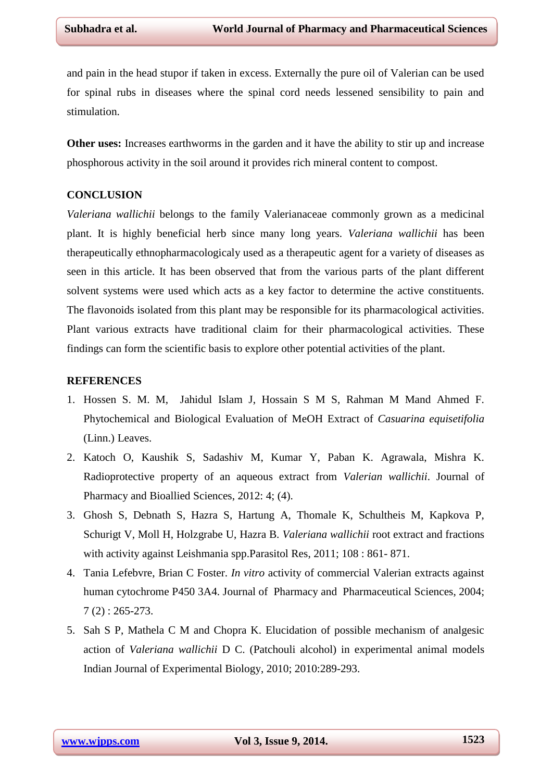and pain in the head stupor if taken in excess. Externally the pure oil of Valerian can be used for spinal rubs in diseases where the spinal cord needs lessened sensibility to pain and stimulation.

**Other uses:** Increases earthworms in the garden and it have the ability to stir up and increase phosphorous activity in the soil around it provides rich mineral content to compost.

#### **CONCLUSION**

*Valeriana wallichii* belongs to the family Valerianaceae commonly grown as a medicinal plant. It is highly beneficial herb since many long years. *Valeriana wallichii* has been therapeutically ethnopharmacologicaly used as a therapeutic agent for a variety of diseases as seen in this article. It has been observed that from the various parts of the plant different solvent systems were used which acts as a key factor to determine the active constituents. The flavonoids isolated from this plant may be responsible for its pharmacological activities. Plant various extracts have traditional claim for their pharmacological activities. These findings can form the scientific basis to explore other potential activities of the plant.

#### **REFERENCES**

- 1. Hossen S. M. M, Jahidul Islam J, Hossain S M S, Rahman M Mand Ahmed F. Phytochemical and Biological Evaluation of MeOH Extract of *Casuarina equisetifolia*  (Linn.) Leaves.
- 2. Katoch O, Kaushik S, Sadashiv M, Kumar Y, Paban K. Agrawala, Mishra K. Radioprotective property of an aqueous extract from *Valerian wallichii*. Journal of Pharmacy and Bioallied Sciences, 2012: 4; (4).
- 3. Ghosh S, Debnath S, Hazra S, Hartung A, Thomale K, Schultheis M, Kapkova P, Schurigt V, Moll H, Holzgrabe U, Hazra B. *Valeriana wallichii* root extract and fractions with activity against Leishmania spp. Parasitol Res, 2011; 108 : 861-871.
- 4. Tania Lefebvre, Brian C Foster. *In vitro* activity of commercial Valerian extracts against human cytochrome P450 3A4. Journal of Pharmacy and Pharmaceutical Sciences, 2004; 7 (2) : 265-273.
- 5. Sah S P, Mathela C M and Chopra K. Elucidation of possible mechanism of analgesic action of *Valeriana wallichii* D C. (Patchouli alcohol) in experimental animal models Indian Journal of Experimental Biology, 2010; 2010:289-293.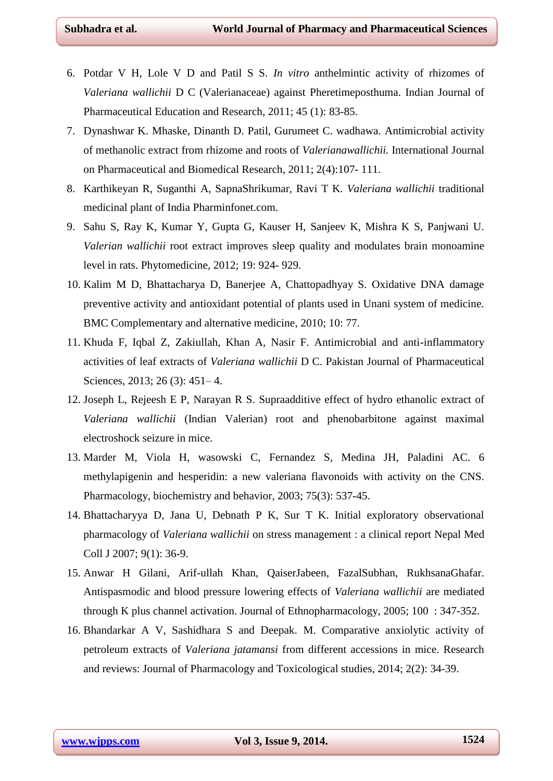- 6. Potdar V H, Lole V D and Patil S S. *In vitro* anthelmintic activity of rhizomes of *Valeriana wallichii* D C (Valerianaceae) against Pheretimeposthuma. Indian Journal of Pharmaceutical Education and Research, 2011; 45 (1): 83-85.
- 7. Dynashwar K. Mhaske, Dinanth D. Patil, Gurumeet C. wadhawa. Antimicrobial activity of methanolic extract from rhizome and roots of *Valerianawallichii.* International Journal on Pharmaceutical and Biomedical Research, 2011; 2(4):107- 111.
- 8. Karthikeyan R, Suganthi A, SapnaShrikumar, Ravi T K. *Valeriana wallichii* traditional medicinal plant of India Pharminfonet.com.
- 9. Sahu S, Ray K, Kumar Y, Gupta G, Kauser H, Sanjeev K, Mishra K S, Panjwani U. *Valerian wallichii* root extract improves sleep quality and modulates brain monoamine level in rats. Phytomedicine, 2012; 19: 924- 929.
- 10. Kalim M D, Bhattacharya D, Banerjee A, Chattopadhyay S. Oxidative DNA damage preventive activity and antioxidant potential of plants used in Unani system of medicine. BMC Complementary and alternative medicine, 2010; 10: 77.
- 11. Khuda F, Iqbal Z, Zakiullah, Khan A, Nasir F. Antimicrobial and anti-inflammatory activities of leaf extracts of *Valeriana wallichii* D C. Pakistan Journal of Pharmaceutical Sciences, 2013; 26 (3): 451–4.
- 12. Joseph L, Rejeesh E P, Narayan R S. Supraadditive effect of hydro ethanolic extract of *Valeriana wallichii* (Indian Valerian) root and phenobarbitone against maximal electroshock seizure in mice.
- 13. Marder M, Viola H, wasowski C, Fernandez S, Medina JH, Paladini AC. 6 methylapigenin and hesperidin: a new valeriana flavonoids with activity on the CNS. Pharmacology, biochemistry and behavior, 2003; 75(3): 537-45.
- 14. Bhattacharyya D, Jana U, Debnath P K, Sur T K. Initial exploratory observational pharmacology of *Valeriana wallichii* on stress management : a clinical report Nepal Med Coll J 2007; 9(1): 36-9.
- 15. Anwar H Gilani, Arif-ullah Khan, QaiserJabeen, FazalSubhan, RukhsanaGhafar. Antispasmodic and blood pressure lowering effects of *Valeriana wallichii* are mediated through K plus channel activation. Journal of Ethnopharmacology, 2005; 100 : 347-352.
- 16. Bhandarkar A V, Sashidhara S and Deepak. M. Comparative anxiolytic activity of petroleum extracts of *Valeriana jatamansi* from different accessions in mice. Research and reviews: Journal of Pharmacology and Toxicological studies, 2014; 2(2): 34-39.